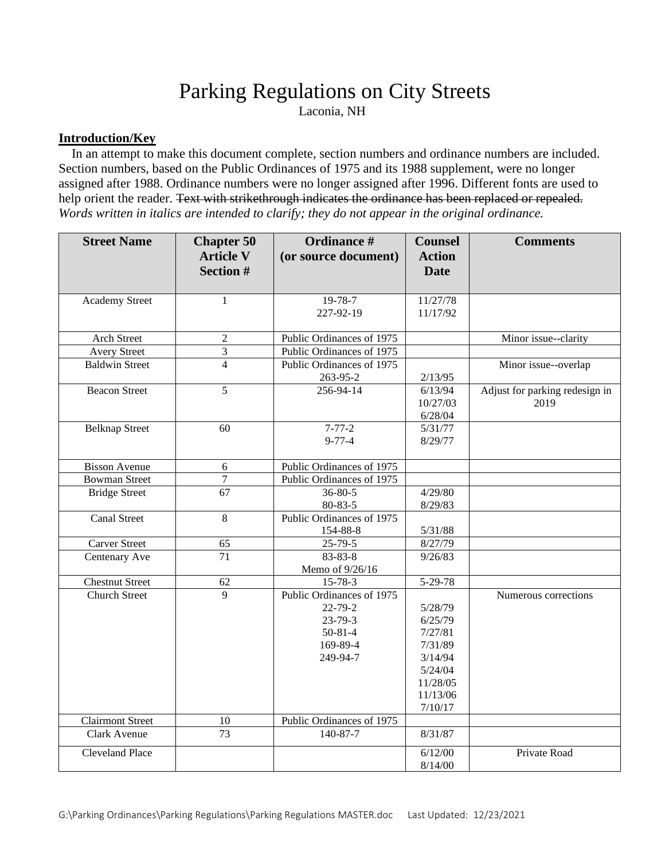# Parking Regulations on City Streets

Laconia, NH

## **Introduction/Key**

 In an attempt to make this document complete, section numbers and ordinance numbers are included. Section numbers, based on the Public Ordinances of 1975 and its 1988 supplement, were no longer assigned after 1988. Ordinance numbers were no longer assigned after 1996. Different fonts are used to help orient the reader. Text with strikethrough indicates the ordinance has been replaced or repealed. *Words written in italics are intended to clarify; they do not appear in the original ordinance.*

| <b>Street Name</b>                              | <b>Chapter 50</b><br><b>Article V</b> | <b>Ordinance #</b><br>(or source document)                                                                                        | <b>Counsel</b><br><b>Action</b>                                                                   | <b>Comments</b>                        |
|-------------------------------------------------|---------------------------------------|-----------------------------------------------------------------------------------------------------------------------------------|---------------------------------------------------------------------------------------------------|----------------------------------------|
|                                                 | <b>Section #</b>                      |                                                                                                                                   | <b>Date</b>                                                                                       |                                        |
| <b>Academy Street</b>                           | $\mathbf{1}$                          | 19-78-7<br>227-92-19                                                                                                              | 11/27/78<br>11/17/92                                                                              |                                        |
| Arch Street                                     | $\overline{c}$                        | Public Ordinances of 1975                                                                                                         |                                                                                                   | Minor issue--clarity                   |
| <b>Avery Street</b>                             | 3                                     | Public Ordinances of 1975                                                                                                         |                                                                                                   |                                        |
| <b>Baldwin Street</b>                           | $\overline{4}$                        | Public Ordinances of 1975<br>263-95-2                                                                                             | 2/13/95                                                                                           | Minor issue--overlap                   |
| <b>Beacon Street</b>                            | $\overline{5}$                        | 256-94-14                                                                                                                         | 6/13/94<br>10/27/03<br>6/28/04                                                                    | Adjust for parking redesign in<br>2019 |
| <b>Belknap Street</b>                           | 60                                    | $7 - 77 - 2$<br>$9 - 77 - 4$                                                                                                      | 5/31/77<br>8/29/77                                                                                |                                        |
| <b>Bisson Avenue</b>                            | $\sqrt{6}$                            | Public Ordinances of 1975                                                                                                         |                                                                                                   |                                        |
| <b>Bowman Street</b>                            | $\overline{7}$                        | Public Ordinances of 1975                                                                                                         |                                                                                                   |                                        |
| <b>Bridge Street</b>                            | $\overline{67}$                       | $36 - 80 - 5$<br>80-83-5                                                                                                          | 4/29/80<br>8/29/83                                                                                |                                        |
| <b>Canal Street</b>                             | 8                                     | Public Ordinances of 1975<br>154-88-8                                                                                             | 5/31/88                                                                                           |                                        |
| <b>Carver Street</b>                            | 65                                    | $25 - 79 - 5$                                                                                                                     | 8/27/79                                                                                           |                                        |
| Centenary Ave                                   | $\overline{71}$                       | $83 - 83 - 8$<br>Memo of 9/26/16                                                                                                  | 9/26/83                                                                                           |                                        |
| <b>Chestnut Street</b>                          | 62                                    | $15 - 78 - 3$                                                                                                                     | 5-29-78                                                                                           |                                        |
| <b>Church Street</b><br><b>Clairmont Street</b> | $\overline{9}$<br>10                  | Public Ordinances of 1975<br>$22 - 79 - 2$<br>$23 - 79 - 3$<br>$50 - 81 - 4$<br>169-89-4<br>249-94-7<br>Public Ordinances of 1975 | 5/28/79<br>6/25/79<br>7/27/81<br>7/31/89<br>3/14/94<br>5/24/04<br>11/28/05<br>11/13/06<br>7/10/17 | Numerous corrections                   |
| Clark Avenue                                    | 73                                    | 140-87-7                                                                                                                          | 8/31/87                                                                                           |                                        |
| <b>Cleveland Place</b>                          |                                       |                                                                                                                                   | 6/12/00<br>8/14/00                                                                                | Private Road                           |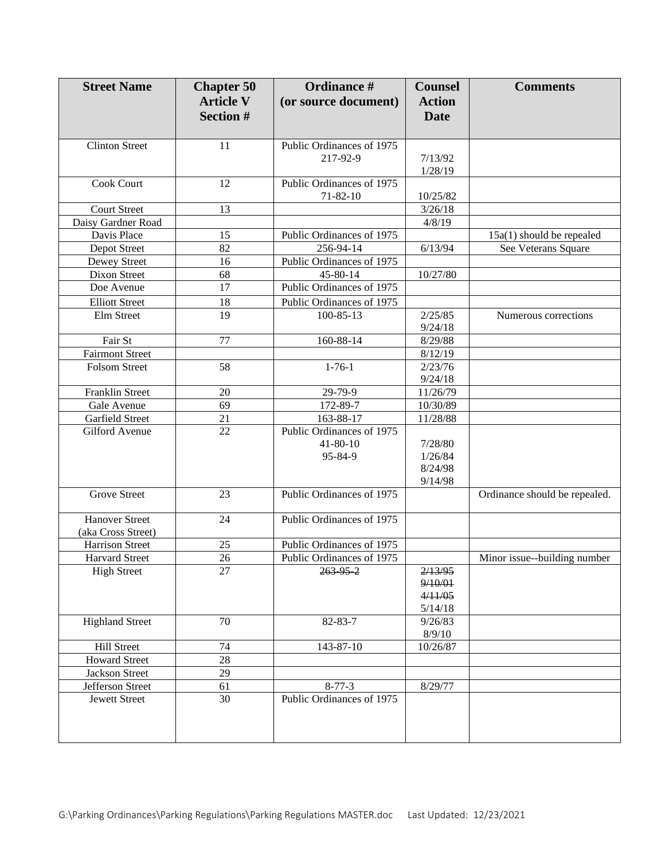| <b>Street Name</b>           | <b>Chapter 50</b><br><b>Article V</b> | Ordinance #<br>(or source document)          | <b>Counsel</b><br><b>Action</b> | <b>Comments</b>               |
|------------------------------|---------------------------------------|----------------------------------------------|---------------------------------|-------------------------------|
|                              | <b>Section #</b>                      |                                              | <b>Date</b>                     |                               |
| <b>Clinton Street</b>        | 11                                    | Public Ordinances of 1975                    |                                 |                               |
|                              |                                       | 217-92-9                                     | 7/13/92                         |                               |
|                              |                                       |                                              | 1/28/19                         |                               |
| <b>Cook Court</b>            | 12                                    | Public Ordinances of 1975                    |                                 |                               |
|                              |                                       | $71 - 82 - 10$                               | 10/25/82                        |                               |
| <b>Court Street</b>          | 13                                    |                                              | 3/26/18                         |                               |
| Daisy Gardner Road           |                                       |                                              | 4/8/19                          |                               |
| Davis Place                  | 15                                    | Public Ordinances of 1975                    |                                 | 15a(1) should be repealed     |
| Depot Street                 | 82<br>16                              | 256-94-14<br>Public Ordinances of 1975       | 6/13/94                         | See Veterans Square           |
| Dewey Street<br>Dixon Street | 68                                    | 45-80-14                                     | 10/27/80                        |                               |
| Doe Avenue                   | 17                                    | Public Ordinances of 1975                    |                                 |                               |
| <b>Elliott Street</b>        |                                       |                                              |                                 |                               |
| Elm Street                   | 18<br>19                              | Public Ordinances of 1975<br>$100 - 85 - 13$ | 2/25/85                         |                               |
|                              |                                       |                                              | 9/24/18                         | Numerous corrections          |
| Fair St                      | 77                                    | 160-88-14                                    | 8/29/88                         |                               |
| <b>Fairmont Street</b>       |                                       |                                              | 8/12/19                         |                               |
| Folsom Street                | 58                                    | $1 - 76 - 1$                                 | 2/23/76                         |                               |
|                              |                                       |                                              | 9/24/18                         |                               |
| Franklin Street              | 20                                    | 29-79-9                                      | 11/26/79                        |                               |
| Gale Avenue                  | 69                                    | 172-89-7                                     | 10/30/89                        |                               |
| Garfield Street              | 21                                    | 163-88-17                                    | 11/28/88                        |                               |
| Gilford Avenue               | 22                                    | Public Ordinances of 1975                    |                                 |                               |
|                              |                                       | $41 - 80 - 10$                               | 7/28/80                         |                               |
|                              |                                       | 95-84-9                                      | 1/26/84                         |                               |
|                              |                                       |                                              | 8/24/98                         |                               |
|                              |                                       |                                              | 9/14/98                         |                               |
| <b>Grove Street</b>          | 23                                    | Public Ordinances of 1975                    |                                 | Ordinance should be repealed. |
| <b>Hanover Street</b>        | 24                                    | Public Ordinances of 1975                    |                                 |                               |
| (aka Cross Street)           |                                       |                                              |                                 |                               |
| <b>Harrison Street</b>       | 25                                    | Public Ordinances of 1975                    |                                 |                               |
| <b>Harvard Street</b>        | 26                                    | Public Ordinances of 1975                    |                                 | Minor issue--building number  |
| <b>High Street</b>           | 27                                    | 263952                                       | 2/13/95                         |                               |
|                              |                                       |                                              | 9/10/01                         |                               |
|                              |                                       |                                              | 4/11/05                         |                               |
|                              |                                       |                                              | 5/14/18                         |                               |
| <b>Highland Street</b>       | 70                                    | 82-83-7                                      | 9/26/83                         |                               |
|                              |                                       |                                              | 8/9/10                          |                               |
| <b>Hill Street</b>           | 74                                    | 143-87-10                                    | 10/26/87                        |                               |
| <b>Howard Street</b>         | 28                                    |                                              |                                 |                               |
| Jackson Street               | 29                                    |                                              |                                 |                               |
| Jefferson Street             | 61                                    | $8 - 77 - 3$                                 | 8/29/77                         |                               |
| <b>Jewett Street</b>         | 30                                    | Public Ordinances of 1975                    |                                 |                               |
|                              |                                       |                                              |                                 |                               |
|                              |                                       |                                              |                                 |                               |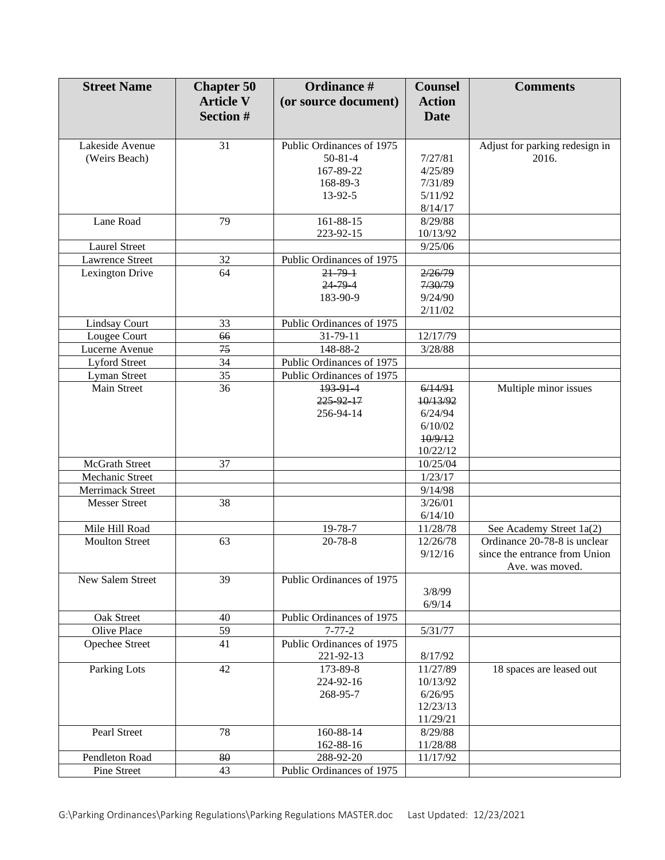| <b>Street Name</b>     | <b>Chapter 50</b> | Ordinance #               | <b>Counsel</b> | <b>Comments</b>                |
|------------------------|-------------------|---------------------------|----------------|--------------------------------|
|                        | <b>Article V</b>  | (or source document)      | <b>Action</b>  |                                |
|                        | <b>Section #</b>  |                           | <b>Date</b>    |                                |
|                        |                   |                           |                |                                |
| Lakeside Avenue        | 31                | Public Ordinances of 1975 |                | Adjust for parking redesign in |
| (Weirs Beach)          |                   | $50 - 81 - 4$             | 7/27/81        | 2016.                          |
|                        |                   | 167-89-22                 | 4/25/89        |                                |
|                        |                   | 168-89-3                  | 7/31/89        |                                |
|                        |                   | 13-92-5                   | 5/11/92        |                                |
|                        |                   |                           | 8/14/17        |                                |
| Lane Road              | 79                | 161-88-15                 | 8/29/88        |                                |
|                        |                   | 223-92-15                 | 10/13/92       |                                |
| <b>Laurel Street</b>   |                   |                           | 9/25/06        |                                |
| <b>Lawrence Street</b> | 32                | Public Ordinances of 1975 |                |                                |
| Lexington Drive        | 64                | $21 - 79 - 1$             | 2/26/79        |                                |
|                        |                   | $24 - 79 - 4$             | 7/30/79        |                                |
|                        |                   | 183-90-9                  | 9/24/90        |                                |
|                        |                   |                           | 2/11/02        |                                |
| <b>Lindsay Court</b>   | 33                | Public Ordinances of 1975 |                |                                |
| Lougee Court           | 66                | 31-79-11                  | 12/17/79       |                                |
| Lucerne Avenue         | 75                | 148-88-2                  | 3/28/88        |                                |
| <b>Lyford Street</b>   | 34                | Public Ordinances of 1975 |                |                                |
| <b>Lyman Street</b>    | 35                | Public Ordinances of 1975 |                |                                |
| Main Street            | 36                | 193 91 4                  | 6/14/91        | Multiple minor issues          |
|                        |                   | 225 92 17                 | 10/13/92       |                                |
|                        |                   | 256-94-14                 | 6/24/94        |                                |
|                        |                   |                           | 6/10/02        |                                |
|                        |                   |                           | 10/9/12        |                                |
|                        |                   |                           | 10/22/12       |                                |
| McGrath Street         | 37                |                           | 10/25/04       |                                |
| Mechanic Street        |                   |                           | 1/23/17        |                                |
| Merrimack Street       |                   |                           | 9/14/98        |                                |
| <b>Messer Street</b>   | 38                |                           | 3/26/01        |                                |
|                        |                   |                           | 6/14/10        |                                |
| Mile Hill Road         |                   | 19-78-7                   | 11/28/78       | See Academy Street 1a(2)       |
| <b>Moulton Street</b>  | 63                | $20 - 78 - 8$             | 12/26/78       | Ordinance 20-78-8 is unclear   |
|                        |                   |                           | 9/12/16        | since the entrance from Union  |
|                        |                   |                           |                | Ave. was moved.                |
| New Salem Street       | 39                | Public Ordinances of 1975 |                |                                |
|                        |                   |                           | 3/8/99         |                                |
|                        |                   |                           | 6/9/14         |                                |
| Oak Street             | 40                | Public Ordinances of 1975 |                |                                |
| Olive Place            | 59                | $7 - 77 - 2$              | 5/31/77        |                                |
| <b>Opechee Street</b>  | 41                | Public Ordinances of 1975 |                |                                |
|                        |                   | 221-92-13                 | 8/17/92        |                                |
| <b>Parking Lots</b>    | 42                | 173-89-8                  | 11/27/89       | 18 spaces are leased out       |
|                        |                   | 224-92-16                 | 10/13/92       |                                |
|                        |                   | 268-95-7                  | 6/26/95        |                                |
|                        |                   |                           | 12/23/13       |                                |
|                        |                   |                           | 11/29/21       |                                |
| Pearl Street           | 78                | 160-88-14                 | 8/29/88        |                                |
|                        |                   | 162-88-16                 | 11/28/88       |                                |
| Pendleton Road         | 80                | 288-92-20                 | 11/17/92       |                                |
| Pine Street            | 43                | Public Ordinances of 1975 |                |                                |
|                        |                   |                           |                |                                |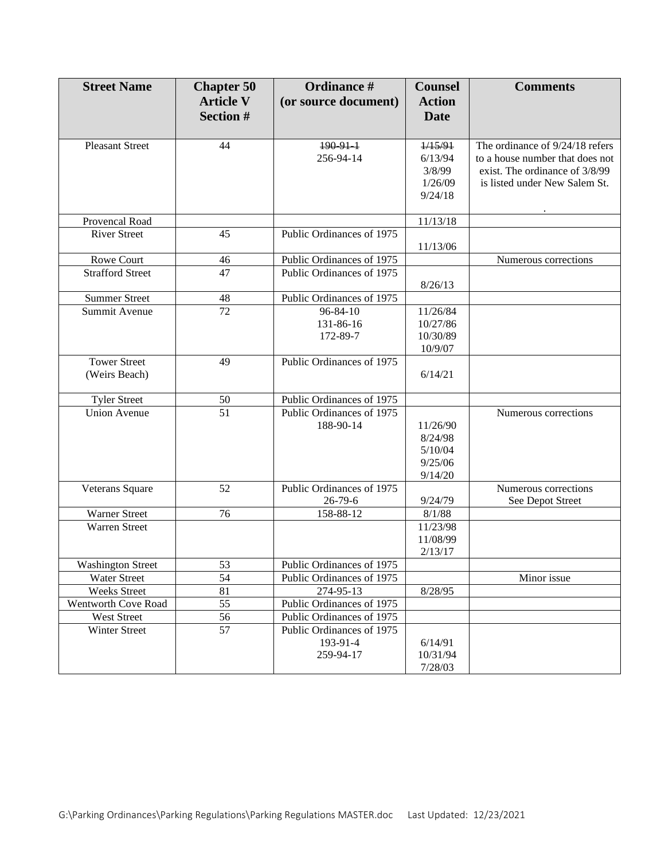| <b>Street Name</b>       | <b>Chapter 50</b> | Ordinance #               | <b>Counsel</b> | <b>Comments</b>                 |
|--------------------------|-------------------|---------------------------|----------------|---------------------------------|
|                          | <b>Article V</b>  | (or source document)      | <b>Action</b>  |                                 |
|                          | <b>Section #</b>  |                           | <b>Date</b>    |                                 |
|                          |                   |                           |                |                                 |
| <b>Pleasant Street</b>   | 44                | $190.91 - 1$              | 1/15/91        | The ordinance of 9/24/18 refers |
|                          |                   | 256-94-14                 | 6/13/94        | to a house number that does not |
|                          |                   |                           | 3/8/99         | exist. The ordinance of 3/8/99  |
|                          |                   |                           | 1/26/09        | is listed under New Salem St.   |
|                          |                   |                           | 9/24/18        |                                 |
|                          |                   |                           |                |                                 |
| Provencal Road           |                   |                           | 11/13/18       |                                 |
| <b>River Street</b>      | 45                | Public Ordinances of 1975 |                |                                 |
|                          |                   |                           | 11/13/06       |                                 |
| Rowe Court               | 46                | Public Ordinances of 1975 |                | Numerous corrections            |
| <b>Strafford Street</b>  | 47                | Public Ordinances of 1975 |                |                                 |
| <b>Summer Street</b>     | 48                | Public Ordinances of 1975 | 8/26/13        |                                 |
| Summit Avenue            | 72                | $96 - 84 - 10$            | 11/26/84       |                                 |
|                          |                   | 131-86-16                 | 10/27/86       |                                 |
|                          |                   | 172-89-7                  | 10/30/89       |                                 |
|                          |                   |                           | 10/9/07        |                                 |
| <b>Tower Street</b>      | 49                | Public Ordinances of 1975 |                |                                 |
| (Weirs Beach)            |                   |                           | 6/14/21        |                                 |
|                          |                   |                           |                |                                 |
| <b>Tyler Street</b>      | 50                | Public Ordinances of 1975 |                |                                 |
| <b>Union Avenue</b>      | 51                | Public Ordinances of 1975 |                | Numerous corrections            |
|                          |                   | 188-90-14                 | 11/26/90       |                                 |
|                          |                   |                           | 8/24/98        |                                 |
|                          |                   |                           | 5/10/04        |                                 |
|                          |                   |                           | 9/25/06        |                                 |
|                          |                   |                           | 9/14/20        |                                 |
| Veterans Square          | 52                | Public Ordinances of 1975 |                | Numerous corrections            |
|                          |                   | $26 - 79 - 6$             | 9/24/79        | See Depot Street                |
| <b>Warner Street</b>     | 76                | 158-88-12                 | 8/1/88         |                                 |
| <b>Warren Street</b>     |                   |                           | 11/23/98       |                                 |
|                          |                   |                           | 11/08/99       |                                 |
|                          |                   |                           | 2/13/17        |                                 |
| <b>Washington Street</b> | 53                | Public Ordinances of 1975 |                |                                 |
| Water Street             | 54                | Public Ordinances of 1975 |                | Minor issue                     |
| <b>Weeks Street</b>      | 81                | 274-95-13                 | 8/28/95        |                                 |
| Wentworth Cove Road      | 55                | Public Ordinances of 1975 |                |                                 |
| West Street              | 56                | Public Ordinances of 1975 |                |                                 |
| Winter Street            | 57                | Public Ordinances of 1975 |                |                                 |
|                          |                   | 193-91-4                  | 6/14/91        |                                 |
|                          |                   | 259-94-17                 | 10/31/94       |                                 |
|                          |                   |                           | 7/28/03        |                                 |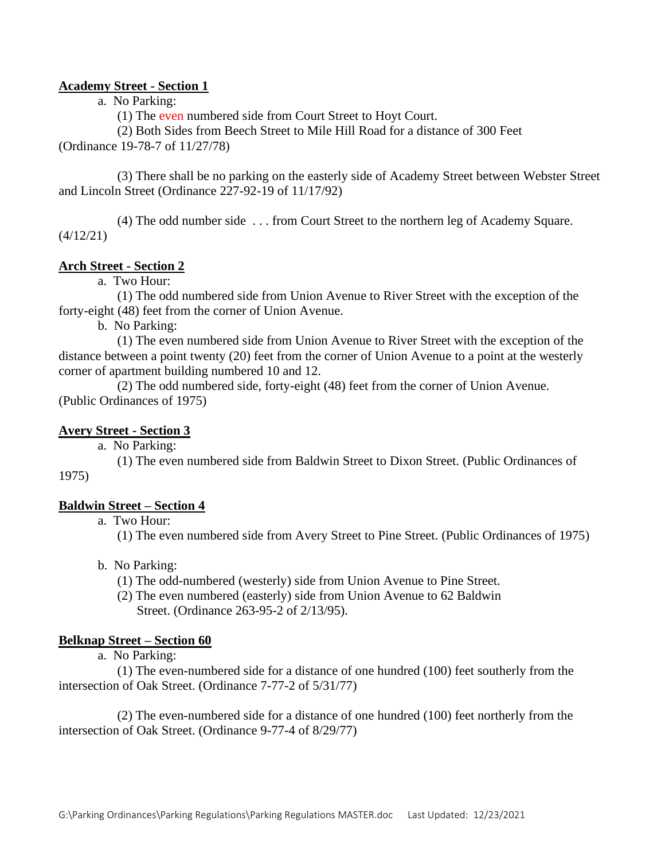#### **Academy Street - Section 1**

#### a. No Parking:

(1) The even numbered side from Court Street to Hoyt Court.

(2) Both Sides from Beech Street to Mile Hill Road for a distance of 300 Feet (Ordinance 19-78-7 of 11/27/78)

(3) There shall be no parking on the easterly side of Academy Street between Webster Street and Lincoln Street (Ordinance 227-92-19 of 11/17/92)

(4) The odd number side . . . from Court Street to the northern leg of Academy Square.  $(4/12/21)$ 

#### **Arch Street - Section 2**

a. Two Hour:

(1) The odd numbered side from Union Avenue to River Street with the exception of the forty-eight (48) feet from the corner of Union Avenue.

b. No Parking:

(1) The even numbered side from Union Avenue to River Street with the exception of the distance between a point twenty (20) feet from the corner of Union Avenue to a point at the westerly corner of apartment building numbered 10 and 12.

(2) The odd numbered side, forty-eight (48) feet from the corner of Union Avenue. (Public Ordinances of 1975)

#### **Avery Street - Section 3**

a. No Parking:

(1) The even numbered side from Baldwin Street to Dixon Street. (Public Ordinances of 1975)

#### **Baldwin Street – Section 4**

a. Two Hour:

(1) The even numbered side from Avery Street to Pine Street. (Public Ordinances of 1975)

- b. No Parking:
	- (1) The odd-numbered (westerly) side from Union Avenue to Pine Street.
	- (2) The even numbered (easterly) side from Union Avenue to 62 Baldwin Street. (Ordinance 263-95-2 of 2/13/95).

#### **Belknap Street – Section 60**

a. No Parking:

(1) The even-numbered side for a distance of one hundred (100) feet southerly from the intersection of Oak Street. (Ordinance 7-77-2 of 5/31/77)

(2) The even-numbered side for a distance of one hundred (100) feet northerly from the intersection of Oak Street. (Ordinance 9-77-4 of 8/29/77)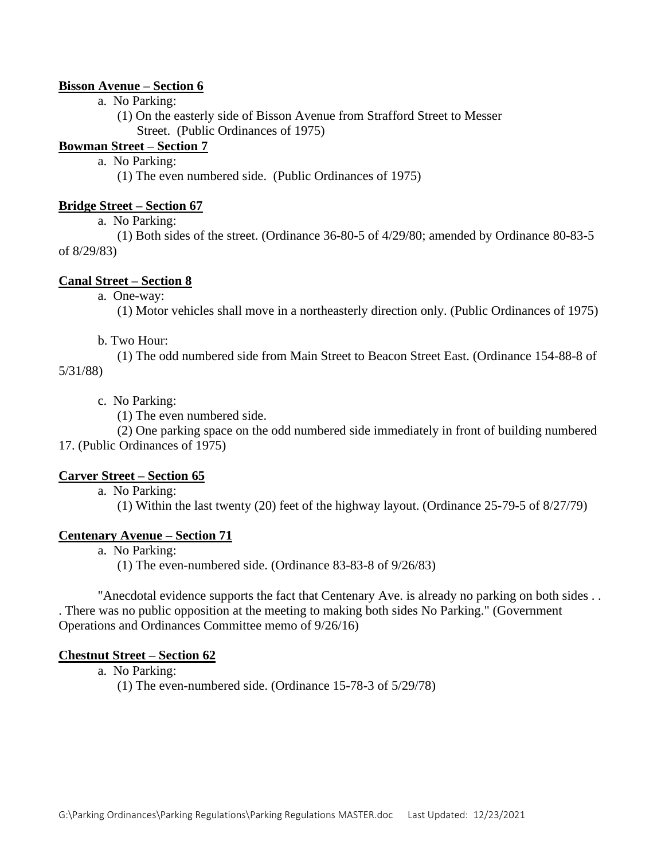#### **Bisson Avenue – Section 6**

a. No Parking:

(1) On the easterly side of Bisson Avenue from Strafford Street to Messer Street. (Public Ordinances of 1975)

## **Bowman Street – Section 7**

a. No Parking:

(1) The even numbered side. (Public Ordinances of 1975)

#### **Bridge Street – Section 67**

a. No Parking:

(1) Both sides of the street. (Ordinance 36-80-5 of 4/29/80; amended by Ordinance 80-83-5 of 8/29/83)

#### **Canal Street – Section 8**

a. One-way:

(1) Motor vehicles shall move in a northeasterly direction only. (Public Ordinances of 1975)

#### b. Two Hour:

(1) The odd numbered side from Main Street to Beacon Street East. (Ordinance 154-88-8 of 5/31/88)

# c. No Parking:

(1) The even numbered side.

(2) One parking space on the odd numbered side immediately in front of building numbered 17. (Public Ordinances of 1975)

#### **Carver Street – Section 65**

a. No Parking:

(1) Within the last twenty (20) feet of the highway layout. (Ordinance 25-79-5 of 8/27/79)

#### **Centenary Avenue – Section 71**

a. No Parking:

(1) The even-numbered side. (Ordinance 83-83-8 of 9/26/83)

"Anecdotal evidence supports the fact that Centenary Ave. is already no parking on both sides . . . There was no public opposition at the meeting to making both sides No Parking." (Government Operations and Ordinances Committee memo of 9/26/16)

#### **Chestnut Street – Section 62**

a. No Parking:

(1) The even-numbered side. (Ordinance 15-78-3 of 5/29/78)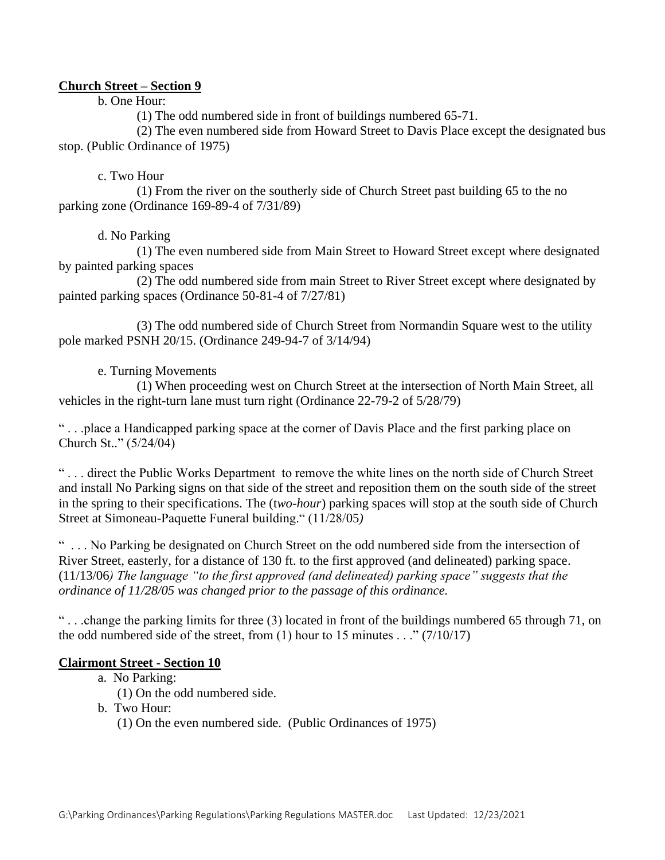## **Church Street – Section 9**

b. One Hour:

(1) The odd numbered side in front of buildings numbered 65-71.

(2) The even numbered side from Howard Street to Davis Place except the designated bus stop. (Public Ordinance of 1975)

#### c. Two Hour

(1) From the river on the southerly side of Church Street past building 65 to the no parking zone (Ordinance 169-89-4 of 7/31/89)

## d. No Parking

(1) The even numbered side from Main Street to Howard Street except where designated by painted parking spaces

(2) The odd numbered side from main Street to River Street except where designated by painted parking spaces (Ordinance 50-81-4 of 7/27/81)

(3) The odd numbered side of Church Street from Normandin Square west to the utility pole marked PSNH 20/15. (Ordinance 249-94-7 of 3/14/94)

#### e. Turning Movements

(1) When proceeding west on Church Street at the intersection of North Main Street, all vehicles in the right-turn lane must turn right (Ordinance 22-79-2 of 5/28/79)

" . . .place a Handicapped parking space at the corner of Davis Place and the first parking place on Church St.." (5/24/04)

" . . . direct the Public Works Department to remove the white lines on the north side of Church Street and install No Parking signs on that side of the street and reposition them on the south side of the street in the spring to their specifications. The (t*wo-hour*) parking spaces will stop at the south side of Church Street at Simoneau-Paquette Funeral building." (11/28/05*)*

" . . . No Parking be designated on Church Street on the odd numbered side from the intersection of River Street, easterly, for a distance of 130 ft. to the first approved (and delineated) parking space. (11/13/06*) The language "to the first approved (and delineated) parking space" suggests that the ordinance of 11/28/05 was changed prior to the passage of this ordinance.* 

" . . .change the parking limits for three (3) located in front of the buildings numbered 65 through 71, on the odd numbered side of the street, from  $(1)$  hour to 15 minutes . . ."  $(7/10/17)$ 

## **Clairmont Street - Section 10**

- a. No Parking:
	- (1) On the odd numbered side.
- b. Two Hour:
	- (1) On the even numbered side. (Public Ordinances of 1975)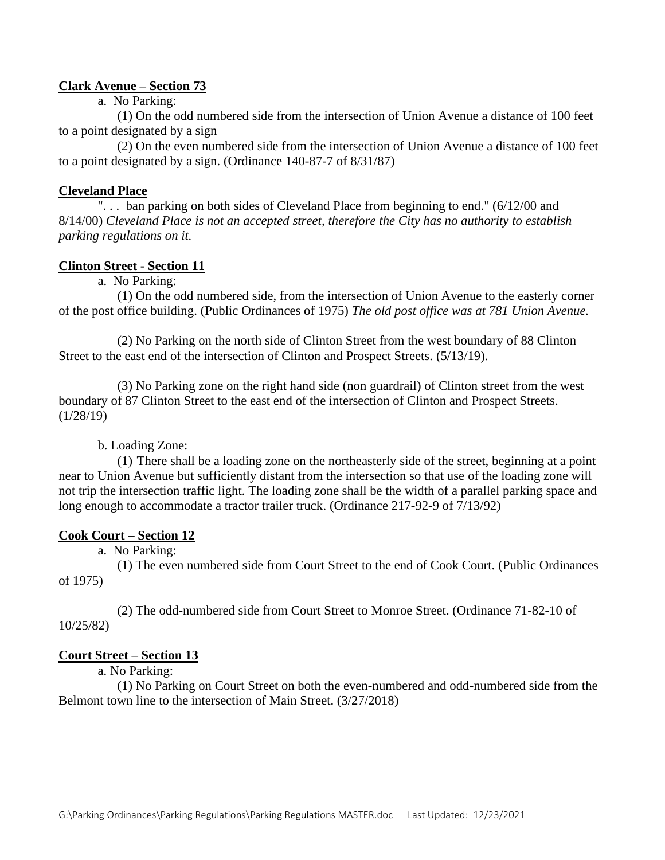#### **Clark Avenue – Section 73**

a. No Parking:

(1) On the odd numbered side from the intersection of Union Avenue a distance of 100 feet to a point designated by a sign

(2) On the even numbered side from the intersection of Union Avenue a distance of 100 feet to a point designated by a sign. (Ordinance 140-87-7 of 8/31/87)

#### **Cleveland Place**

"... ban parking on both sides of Cleveland Place from beginning to end." (6/12/00 and 8/14/00) *Cleveland Place is not an accepted street, therefore the City has no authority to establish parking regulations on it.*

## **Clinton Street - Section 11**

a. No Parking:

(1) On the odd numbered side, from the intersection of Union Avenue to the easterly corner of the post office building. (Public Ordinances of 1975) *The old post office was at 781 Union Avenue.*

(2) No Parking on the north side of Clinton Street from the west boundary of 88 Clinton Street to the east end of the intersection of Clinton and Prospect Streets. (5/13/19).

(3) No Parking zone on the right hand side (non guardrail) of Clinton street from the west boundary of 87 Clinton Street to the east end of the intersection of Clinton and Prospect Streets.  $(1/28/19)$ 

b. Loading Zone:

(1) There shall be a loading zone on the northeasterly side of the street, beginning at a point near to Union Avenue but sufficiently distant from the intersection so that use of the loading zone will not trip the intersection traffic light. The loading zone shall be the width of a parallel parking space and long enough to accommodate a tractor trailer truck. (Ordinance 217-92-9 of 7/13/92)

#### **Cook Court – Section 12**

a. No Parking:

(1) The even numbered side from Court Street to the end of Cook Court. (Public Ordinances of 1975)

(2) The odd-numbered side from Court Street to Monroe Street. (Ordinance 71-82-10 of 10/25/82)

## **Court Street – Section 13**

a. No Parking:

(1) No Parking on Court Street on both the even-numbered and odd-numbered side from the Belmont town line to the intersection of Main Street. (3/27/2018)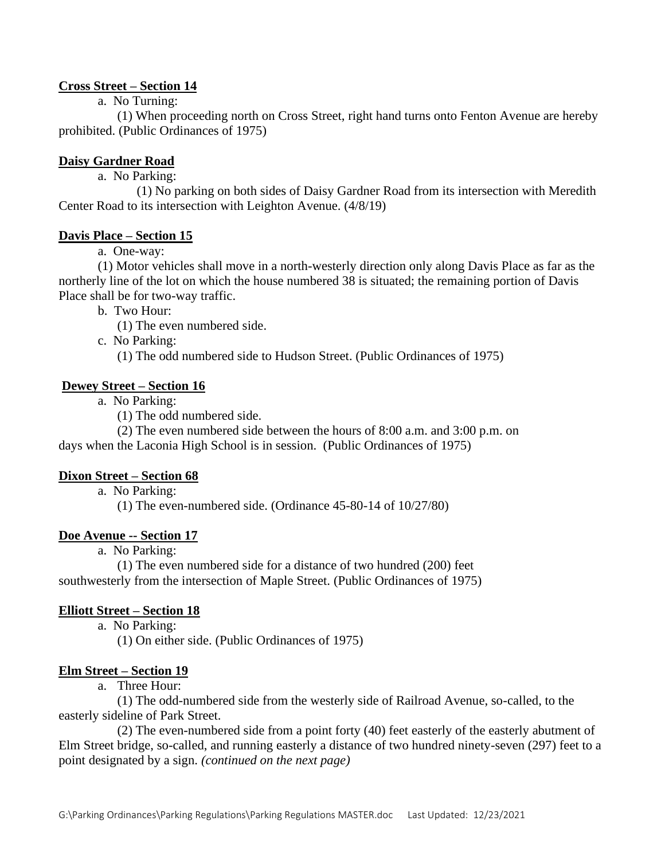# **Cross Street – Section 14**

a. No Turning:

(1) When proceeding north on Cross Street, right hand turns onto Fenton Avenue are hereby prohibited. (Public Ordinances of 1975)

# **Daisy Gardner Road**

a. No Parking:

(1) No parking on both sides of Daisy Gardner Road from its intersection with Meredith Center Road to its intersection with Leighton Avenue. (4/8/19)

## **Davis Place – Section 15**

a. One-way:

(1) Motor vehicles shall move in a north-westerly direction only along Davis Place as far as the northerly line of the lot on which the house numbered 38 is situated; the remaining portion of Davis Place shall be for two-way traffic.

b. Two Hour:

(1) The even numbered side.

c. No Parking:

(1) The odd numbered side to Hudson Street. (Public Ordinances of 1975)

#### **Dewey Street – Section 16**

a. No Parking:

(1) The odd numbered side.

(2) The even numbered side between the hours of 8:00 a.m. and 3:00 p.m. on days when the Laconia High School is in session. (Public Ordinances of 1975)

#### **Dixon Street – Section 68**

a. No Parking:

(1) The even-numbered side. (Ordinance 45-80-14 of 10/27/80)

#### **Doe Avenue -- Section 17**

a. No Parking:

(1) The even numbered side for a distance of two hundred (200) feet southwesterly from the intersection of Maple Street. (Public Ordinances of 1975)

## **Elliott Street – Section 18**

a. No Parking:

(1) On either side. (Public Ordinances of 1975)

#### **Elm Street – Section 19**

a. Three Hour:

(1) The odd-numbered side from the westerly side of Railroad Avenue, so-called, to the easterly sideline of Park Street.

(2) The even-numbered side from a point forty (40) feet easterly of the easterly abutment of Elm Street bridge, so-called, and running easterly a distance of two hundred ninety-seven (297) feet to a point designated by a sign. *(continued on the next page)*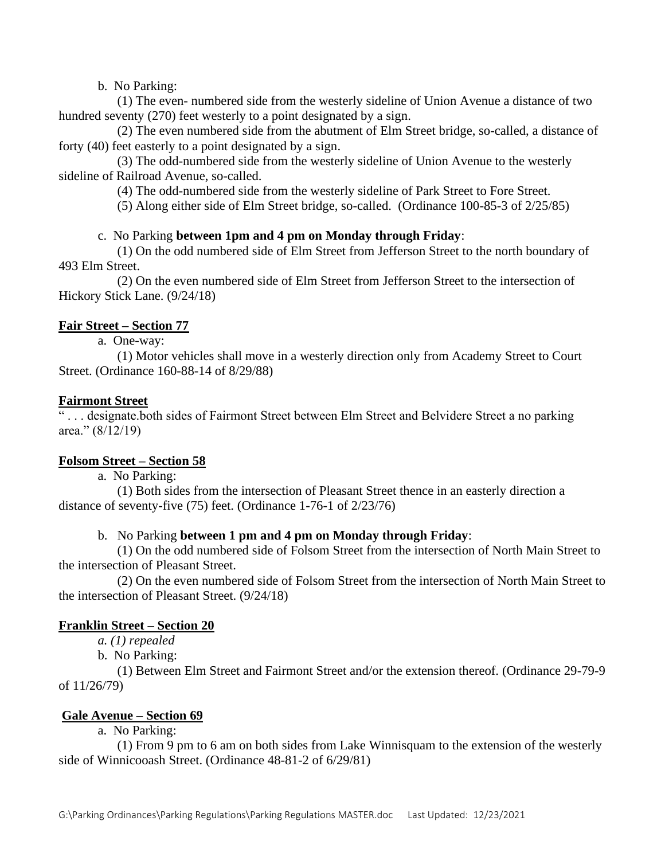b. No Parking:

(1) The even- numbered side from the westerly sideline of Union Avenue a distance of two hundred seventy (270) feet westerly to a point designated by a sign.

(2) The even numbered side from the abutment of Elm Street bridge, so-called, a distance of forty (40) feet easterly to a point designated by a sign.

(3) The odd-numbered side from the westerly sideline of Union Avenue to the westerly sideline of Railroad Avenue, so-called.

(4) The odd-numbered side from the westerly sideline of Park Street to Fore Street.

(5) Along either side of Elm Street bridge, so-called. (Ordinance 100-85-3 of 2/25/85)

# c. No Parking **between 1pm and 4 pm on Monday through Friday**:

(1) On the odd numbered side of Elm Street from Jefferson Street to the north boundary of 493 Elm Street.

(2) On the even numbered side of Elm Street from Jefferson Street to the intersection of Hickory Stick Lane. (9/24/18)

## **Fair Street – Section 77**

a. One-way:

(1) Motor vehicles shall move in a westerly direction only from Academy Street to Court Street. (Ordinance 160-88-14 of 8/29/88)

## **Fairmont Street**

" . . . designate.both sides of Fairmont Street between Elm Street and Belvidere Street a no parking area."  $(8/12/19)$ 

## **Folsom Street – Section 58**

a. No Parking:

(1) Both sides from the intersection of Pleasant Street thence in an easterly direction a distance of seventy-five (75) feet. (Ordinance 1-76-1 of 2/23/76)

## b. No Parking **between 1 pm and 4 pm on Monday through Friday**:

(1) On the odd numbered side of Folsom Street from the intersection of North Main Street to the intersection of Pleasant Street.

(2) On the even numbered side of Folsom Street from the intersection of North Main Street to the intersection of Pleasant Street. (9/24/18)

## **Franklin Street – Section 20**

*a. (1) repealed*

b. No Parking:

(1) Between Elm Street and Fairmont Street and/or the extension thereof. (Ordinance 29-79-9 of 11/26/79)

## **Gale Avenue – Section 69**

a. No Parking:

(1) From 9 pm to 6 am on both sides from Lake Winnisquam to the extension of the westerly side of Winnicooash Street. (Ordinance 48-81-2 of 6/29/81)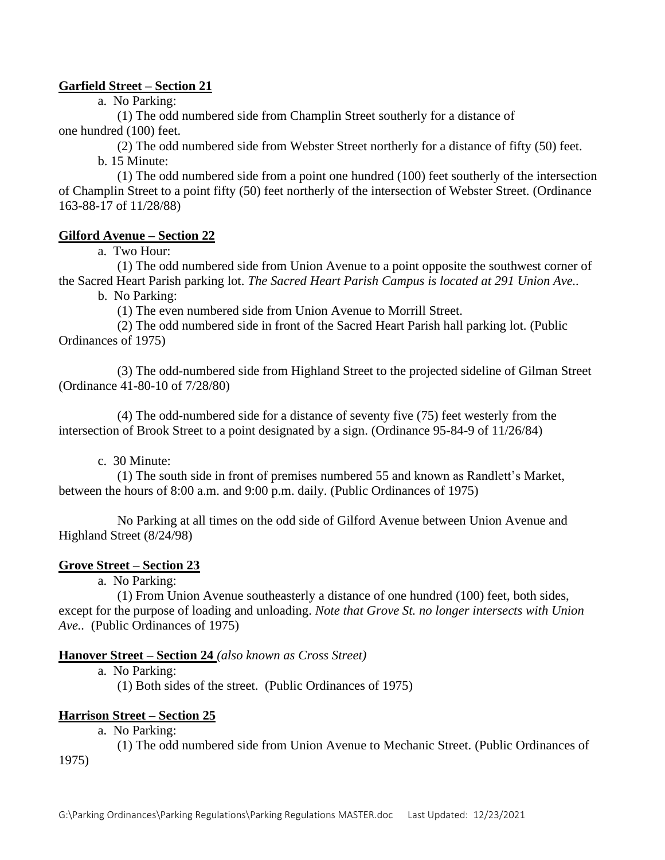## **Garfield Street – Section 21**

a. No Parking:

(1) The odd numbered side from Champlin Street southerly for a distance of one hundred (100) feet.

(2) The odd numbered side from Webster Street northerly for a distance of fifty (50) feet. b. 15 Minute:

(1) The odd numbered side from a point one hundred (100) feet southerly of the intersection of Champlin Street to a point fifty (50) feet northerly of the intersection of Webster Street. (Ordinance 163-88-17 of 11/28/88)

## **Gilford Avenue – Section 22**

a. Two Hour:

(1) The odd numbered side from Union Avenue to a point opposite the southwest corner of the Sacred Heart Parish parking lot. *The Sacred Heart Parish Campus is located at 291 Union Ave..*

b. No Parking:

(1) The even numbered side from Union Avenue to Morrill Street.

(2) The odd numbered side in front of the Sacred Heart Parish hall parking lot. (Public Ordinances of 1975)

(3) The odd-numbered side from Highland Street to the projected sideline of Gilman Street (Ordinance 41-80-10 of 7/28/80)

(4) The odd-numbered side for a distance of seventy five (75) feet westerly from the intersection of Brook Street to a point designated by a sign. (Ordinance 95-84-9 of 11/26/84)

c. 30 Minute:

(1) The south side in front of premises numbered 55 and known as Randlett's Market, between the hours of 8:00 a.m. and 9:00 p.m. daily. (Public Ordinances of 1975)

No Parking at all times on the odd side of Gilford Avenue between Union Avenue and Highland Street (8/24/98)

## **Grove Street – Section 23**

a. No Parking:

(1) From Union Avenue southeasterly a distance of one hundred (100) feet, both sides, except for the purpose of loading and unloading. *Note that Grove St. no longer intersects with Union Ave..* (Public Ordinances of 1975)

#### **Hanover Street – Section 24** *(also known as Cross Street)*

a. No Parking:

(1) Both sides of the street. (Public Ordinances of 1975)

#### **Harrison Street – Section 25**

a. No Parking:

(1) The odd numbered side from Union Avenue to Mechanic Street. (Public Ordinances of 1975)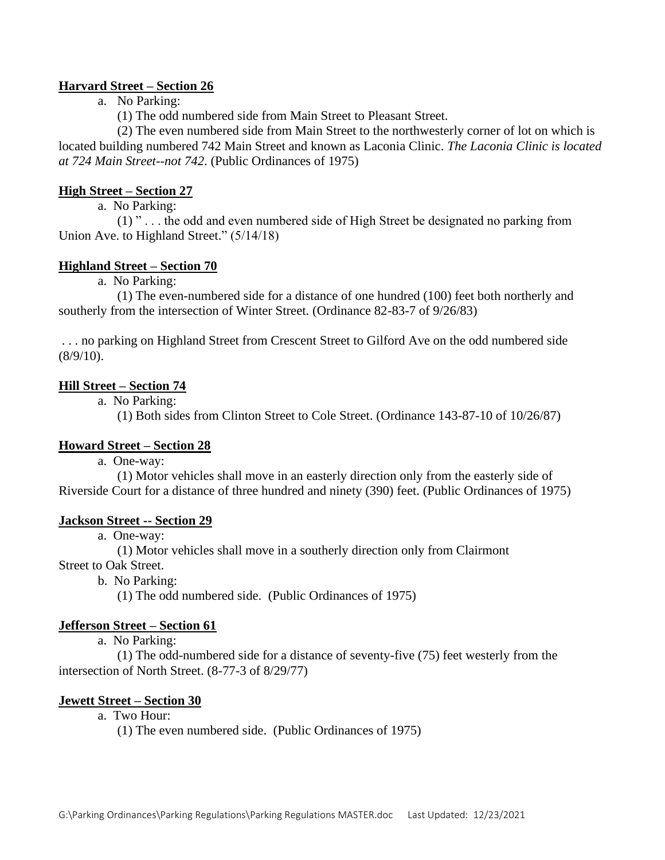## **Harvard Street – Section 26**

a. No Parking:

(1) The odd numbered side from Main Street to Pleasant Street.

(2) The even numbered side from Main Street to the northwesterly corner of lot on which is located building numbered 742 Main Street and known as Laconia Clinic. *The Laconia Clinic is located at 724 Main Street--not 742*. (Public Ordinances of 1975)

#### **High Street – Section 27**

a. No Parking:

(1) " . . . the odd and even numbered side of High Street be designated no parking from Union Ave. to Highland Street." (5/14/18)

#### **Highland Street – Section 70**

a. No Parking:

(1) The even-numbered side for a distance of one hundred (100) feet both northerly and southerly from the intersection of Winter Street. (Ordinance 82-83-7 of 9/26/83)

. . . no parking on Highland Street from Crescent Street to Gilford Ave on the odd numbered side  $(8/9/10)$ .

## **Hill Street – Section 74**

a. No Parking:

(1) Both sides from Clinton Street to Cole Street. (Ordinance 143-87-10 of 10/26/87)

#### **Howard Street – Section 28**

a. One-way:

(1) Motor vehicles shall move in an easterly direction only from the easterly side of Riverside Court for a distance of three hundred and ninety (390) feet. (Public Ordinances of 1975)

#### **Jackson Street -- Section 29**

a. One-way:

(1) Motor vehicles shall move in a southerly direction only from Clairmont

Street to Oak Street.

b. No Parking:

(1) The odd numbered side. (Public Ordinances of 1975)

#### **Jefferson Street – Section 61**

a. No Parking:

(1) The odd-numbered side for a distance of seventy-five (75) feet westerly from the intersection of North Street. (8-77-3 of 8/29/77)

## **Jewett Street – Section 30**

# a. Two Hour:

(1) The even numbered side. (Public Ordinances of 1975)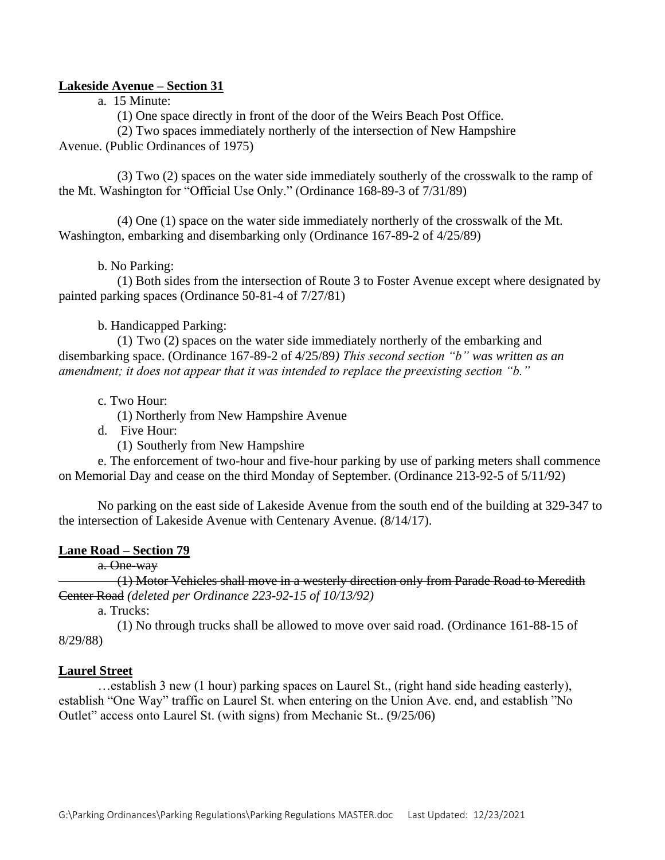#### **Lakeside Avenue – Section 31**

a. 15 Minute:

(1) One space directly in front of the door of the Weirs Beach Post Office.

(2) Two spaces immediately northerly of the intersection of New Hampshire

Avenue. (Public Ordinances of 1975)

(3) Two (2) spaces on the water side immediately southerly of the crosswalk to the ramp of the Mt. Washington for "Official Use Only." (Ordinance 168-89-3 of 7/31/89)

(4) One (1) space on the water side immediately northerly of the crosswalk of the Mt. Washington, embarking and disembarking only (Ordinance 167-89-2 of 4/25/89)

b. No Parking:

(1) Both sides from the intersection of Route 3 to Foster Avenue except where designated by painted parking spaces (Ordinance 50-81-4 of 7/27/81)

b. Handicapped Parking:

(1) Two (2) spaces on the water side immediately northerly of the embarking and disembarking space. (Ordinance 167-89-2 of 4/25/89*) This second section "b" was written as an amendment; it does not appear that it was intended to replace the preexisting section "b."*

c. Two Hour:

(1) Northerly from New Hampshire Avenue

d. Five Hour:

(1) Southerly from New Hampshire

e. The enforcement of two-hour and five-hour parking by use of parking meters shall commence on Memorial Day and cease on the third Monday of September. (Ordinance 213-92-5 of 5/11/92)

No parking on the east side of Lakeside Avenue from the south end of the building at 329-347 to the intersection of Lakeside Avenue with Centenary Avenue. (8/14/17).

#### **Lane Road – Section 79**

a. One-way

(1) Motor Vehicles shall move in a westerly direction only from Parade Road to Meredith Center Road *(deleted per Ordinance 223-92-15 of 10/13/92)*

a. Trucks:

(1) No through trucks shall be allowed to move over said road. (Ordinance 161-88-15 of 8/29/88)

#### **Laurel Street**

…establish 3 new (1 hour) parking spaces on Laurel St., (right hand side heading easterly), establish "One Way" traffic on Laurel St. when entering on the Union Ave. end, and establish "No Outlet" access onto Laurel St. (with signs) from Mechanic St.. (9/25/06)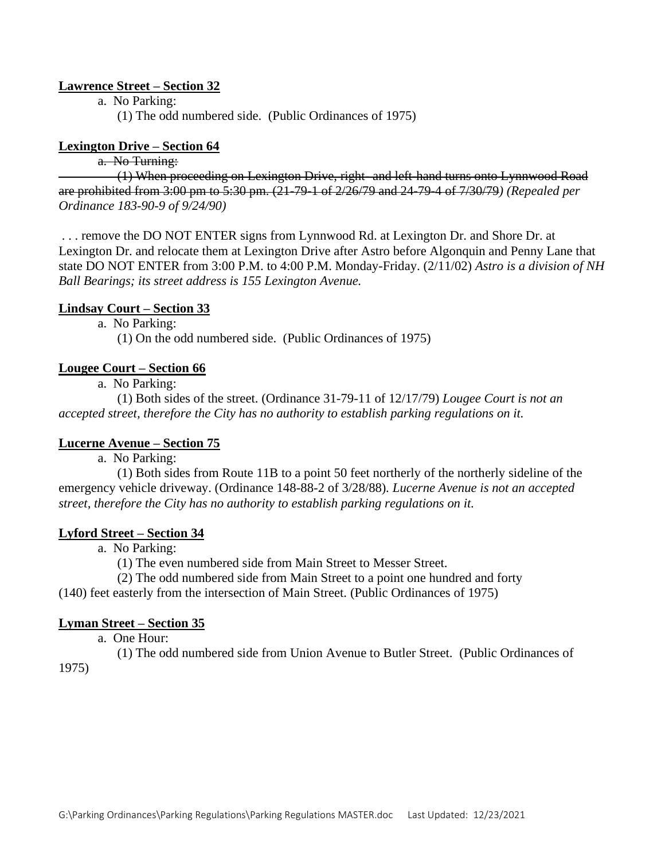## **Lawrence Street – Section 32**

a. No Parking:

(1) The odd numbered side. (Public Ordinances of 1975)

## **Lexington Drive – Section 64**

# a. No Turning:

(1) When proceeding on Lexington Drive, right- and left-hand turns onto Lynnwood Road are prohibited from 3:00 pm to 5:30 pm. (21-79-1 of 2/26/79 and 24-79-4 of 7/30/79*) (Repealed per Ordinance 183-90-9 of 9/24/90)*

. . . remove the DO NOT ENTER signs from Lynnwood Rd. at Lexington Dr. and Shore Dr. at Lexington Dr. and relocate them at Lexington Drive after Astro before Algonquin and Penny Lane that state DO NOT ENTER from 3:00 P.M. to 4:00 P.M. Monday-Friday. (2/11/02) *Astro is a division of NH Ball Bearings; its street address is 155 Lexington Avenue.*

#### **Lindsay Court – Section 33**

a. No Parking:

(1) On the odd numbered side. (Public Ordinances of 1975)

#### **Lougee Court – Section 66**

a. No Parking:

(1) Both sides of the street. (Ordinance 31-79-11 of 12/17/79) *Lougee Court is not an accepted street, therefore the City has no authority to establish parking regulations on it.*

## **Lucerne Avenue – Section 75**

a. No Parking:

(1) Both sides from Route 11B to a point 50 feet northerly of the northerly sideline of the emergency vehicle driveway. (Ordinance 148-88-2 of 3/28/88)*. Lucerne Avenue is not an accepted street, therefore the City has no authority to establish parking regulations on it.*

#### **Lyford Street – Section 34**

a. No Parking:

(1) The even numbered side from Main Street to Messer Street.

(2) The odd numbered side from Main Street to a point one hundred and forty

(140) feet easterly from the intersection of Main Street. (Public Ordinances of 1975)

#### **Lyman Street – Section 35**

a. One Hour:

(1) The odd numbered side from Union Avenue to Butler Street. (Public Ordinances of 1975)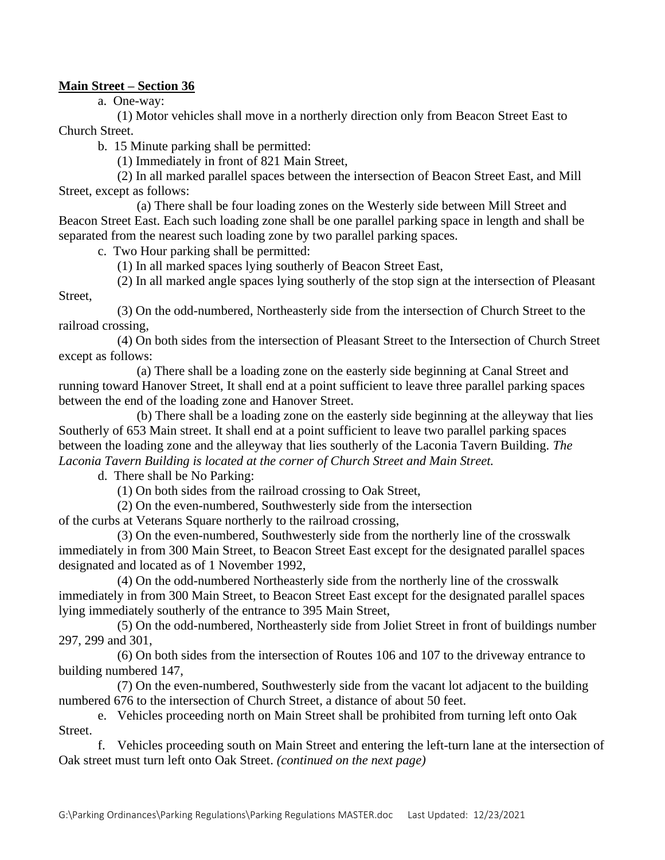## **Main Street – Section 36**

a. One-way:

(1) Motor vehicles shall move in a northerly direction only from Beacon Street East to Church Street.

b. 15 Minute parking shall be permitted:

(1) Immediately in front of 821 Main Street,

(2) In all marked parallel spaces between the intersection of Beacon Street East, and Mill Street, except as follows:

(a) There shall be four loading zones on the Westerly side between Mill Street and Beacon Street East. Each such loading zone shall be one parallel parking space in length and shall be separated from the nearest such loading zone by two parallel parking spaces.

c. Two Hour parking shall be permitted:

(1) In all marked spaces lying southerly of Beacon Street East,

(2) In all marked angle spaces lying southerly of the stop sign at the intersection of Pleasant Street,

(3) On the odd-numbered, Northeasterly side from the intersection of Church Street to the railroad crossing,

(4) On both sides from the intersection of Pleasant Street to the Intersection of Church Street except as follows:

(a) There shall be a loading zone on the easterly side beginning at Canal Street and running toward Hanover Street, It shall end at a point sufficient to leave three parallel parking spaces between the end of the loading zone and Hanover Street.

(b) There shall be a loading zone on the easterly side beginning at the alleyway that lies Southerly of 653 Main street. It shall end at a point sufficient to leave two parallel parking spaces between the loading zone and the alleyway that lies southerly of the Laconia Tavern Building*. The Laconia Tavern Building is located at the corner of Church Street and Main Street.*

d. There shall be No Parking:

(1) On both sides from the railroad crossing to Oak Street,

(2) On the even-numbered, Southwesterly side from the intersection

of the curbs at Veterans Square northerly to the railroad crossing,

(3) On the even-numbered, Southwesterly side from the northerly line of the crosswalk immediately in from 300 Main Street, to Beacon Street East except for the designated parallel spaces designated and located as of 1 November 1992,

(4) On the odd-numbered Northeasterly side from the northerly line of the crosswalk immediately in from 300 Main Street, to Beacon Street East except for the designated parallel spaces lying immediately southerly of the entrance to 395 Main Street,

(5) On the odd-numbered, Northeasterly side from Joliet Street in front of buildings number 297, 299 and 301,

(6) On both sides from the intersection of Routes 106 and 107 to the driveway entrance to building numbered 147,

(7) On the even-numbered, Southwesterly side from the vacant lot adjacent to the building numbered 676 to the intersection of Church Street, a distance of about 50 feet.

e. Vehicles proceeding north on Main Street shall be prohibited from turning left onto Oak Street.

f. Vehicles proceeding south on Main Street and entering the left-turn lane at the intersection of Oak street must turn left onto Oak Street. *(continued on the next page)*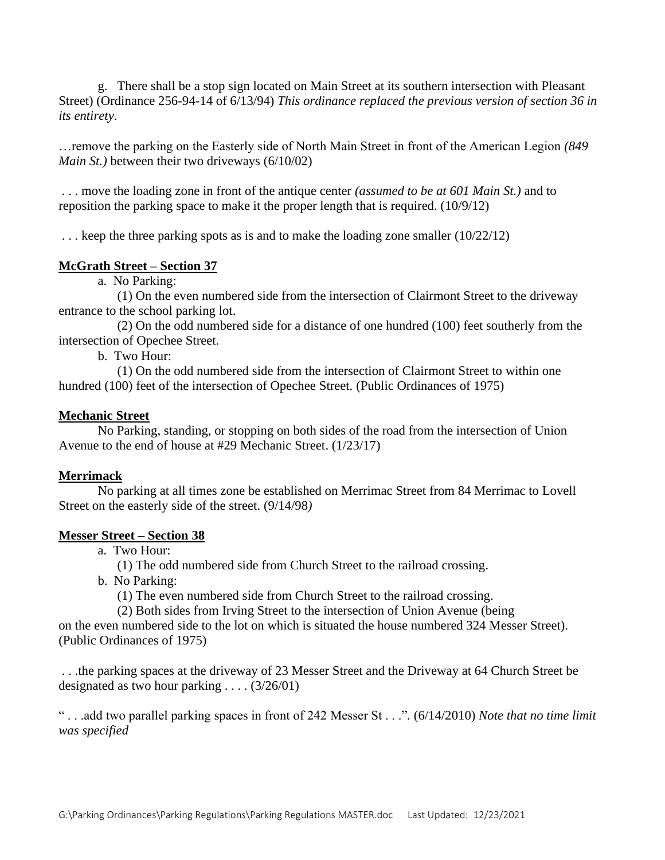g. There shall be a stop sign located on Main Street at its southern intersection with Pleasant Street) (Ordinance 256-94-14 of 6/13/94) *This ordinance replaced the previous version of section 36 in its entirety*.

…remove the parking on the Easterly side of North Main Street in front of the American Legion *(849 Main St.)* between their two driveways (6/10/02)

. . . move the loading zone in front of the antique center *(assumed to be at 601 Main St.)* and to reposition the parking space to make it the proper length that is required. (10/9/12)

... keep the three parking spots as is and to make the loading zone smaller (10/22/12)

## **McGrath Street – Section 37**

a. No Parking:

(1) On the even numbered side from the intersection of Clairmont Street to the driveway entrance to the school parking lot.

(2) On the odd numbered side for a distance of one hundred (100) feet southerly from the intersection of Opechee Street.

b. Two Hour:

(1) On the odd numbered side from the intersection of Clairmont Street to within one hundred (100) feet of the intersection of Opechee Street. (Public Ordinances of 1975)

#### **Mechanic Street**

No Parking, standing, or stopping on both sides of the road from the intersection of Union Avenue to the end of house at #29 Mechanic Street. (1/23/17)

## **Merrimack**

No parking at all times zone be established on Merrimac Street from 84 Merrimac to Lovell Street on the easterly side of the street. (9/14/98*)* 

## **Messer Street – Section 38**

a. Two Hour:

(1) The odd numbered side from Church Street to the railroad crossing.

b. No Parking:

(1) The even numbered side from Church Street to the railroad crossing.

(2) Both sides from Irving Street to the intersection of Union Avenue (being

on the even numbered side to the lot on which is situated the house numbered 324 Messer Street). (Public Ordinances of 1975)

. . .the parking spaces at the driveway of 23 Messer Street and the Driveway at 64 Church Street be designated as two hour parking . . . . (3/26/01)

" . . .add two parallel parking spaces in front of 242 Messer St . . ."*.* (6/14/2010) *Note that no time limit was specified*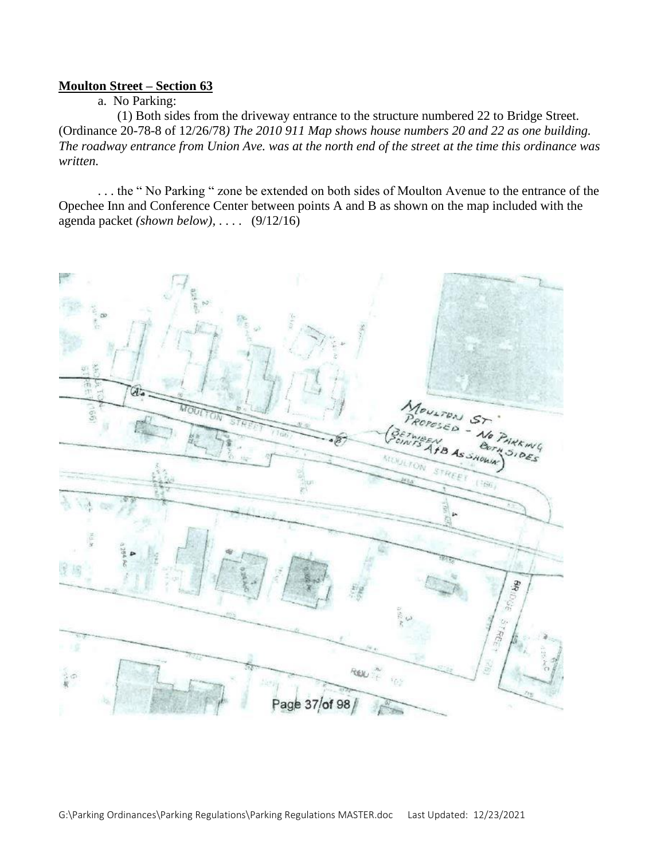#### **Moulton Street – Section 63**

#### a. No Parking:

(1) Both sides from the driveway entrance to the structure numbered 22 to Bridge Street. (Ordinance 20-78-8 of 12/26/78*) The 2010 911 Map shows house numbers 20 and 22 as one building. The roadway entrance from Union Ave. was at the north end of the street at the time this ordinance was written.*

. . . the " No Parking " zone be extended on both sides of Moulton Avenue to the entrance of the Opechee Inn and Conference Center between points A and B as shown on the map included with the agenda packet *(shown below),* . . . . (9/12/16)

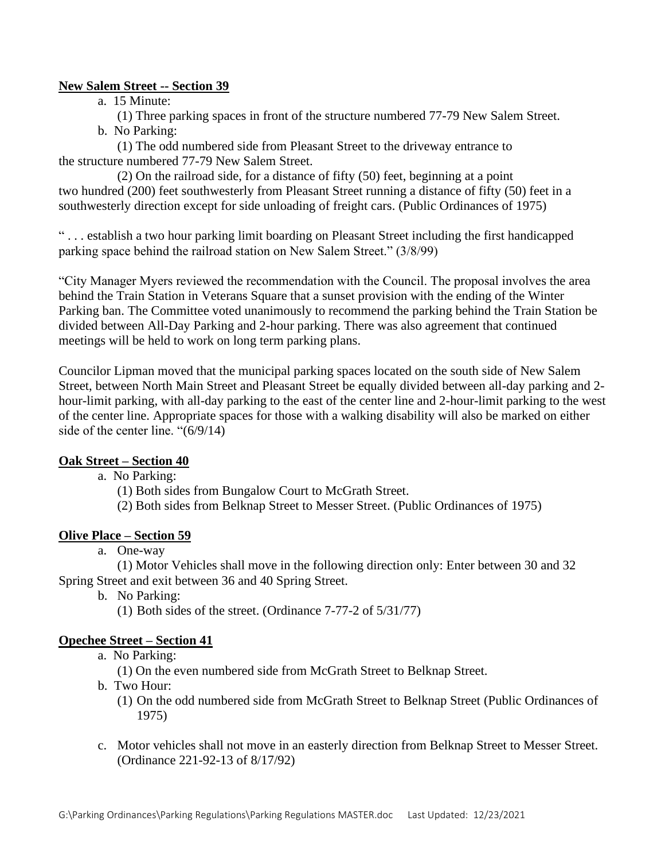# **New Salem Street -- Section 39**

a. 15 Minute:

(1) Three parking spaces in front of the structure numbered 77-79 New Salem Street. b. No Parking:

(1) The odd numbered side from Pleasant Street to the driveway entrance to the structure numbered 77-79 New Salem Street.

(2) On the railroad side, for a distance of fifty (50) feet, beginning at a point two hundred (200) feet southwesterly from Pleasant Street running a distance of fifty (50) feet in a southwesterly direction except for side unloading of freight cars. (Public Ordinances of 1975)

" . . . establish a two hour parking limit boarding on Pleasant Street including the first handicapped parking space behind the railroad station on New Salem Street." (3/8/99)

"City Manager Myers reviewed the recommendation with the Council. The proposal involves the area behind the Train Station in Veterans Square that a sunset provision with the ending of the Winter Parking ban. The Committee voted unanimously to recommend the parking behind the Train Station be divided between All-Day Parking and 2-hour parking. There was also agreement that continued meetings will be held to work on long term parking plans.

Councilor Lipman moved that the municipal parking spaces located on the south side of New Salem Street, between North Main Street and Pleasant Street be equally divided between all-day parking and 2 hour-limit parking, with all-day parking to the east of the center line and 2-hour-limit parking to the west of the center line. Appropriate spaces for those with a walking disability will also be marked on either side of the center line. "(6/9/14)

# **Oak Street – Section 40**

a. No Parking:

(1) Both sides from Bungalow Court to McGrath Street.

(2) Both sides from Belknap Street to Messer Street. (Public Ordinances of 1975)

# **Olive Place – Section 59**

a. One-way

(1) Motor Vehicles shall move in the following direction only: Enter between 30 and 32 Spring Street and exit between 36 and 40 Spring Street.

- b. No Parking:
	- (1) Both sides of the street. (Ordinance 7-77-2 of 5/31/77)

# **Opechee Street – Section 41**

a. No Parking:

(1) On the even numbered side from McGrath Street to Belknap Street.

- b. Two Hour:
	- (1) On the odd numbered side from McGrath Street to Belknap Street (Public Ordinances of 1975)
- c. Motor vehicles shall not move in an easterly direction from Belknap Street to Messer Street. (Ordinance 221-92-13 of 8/17/92)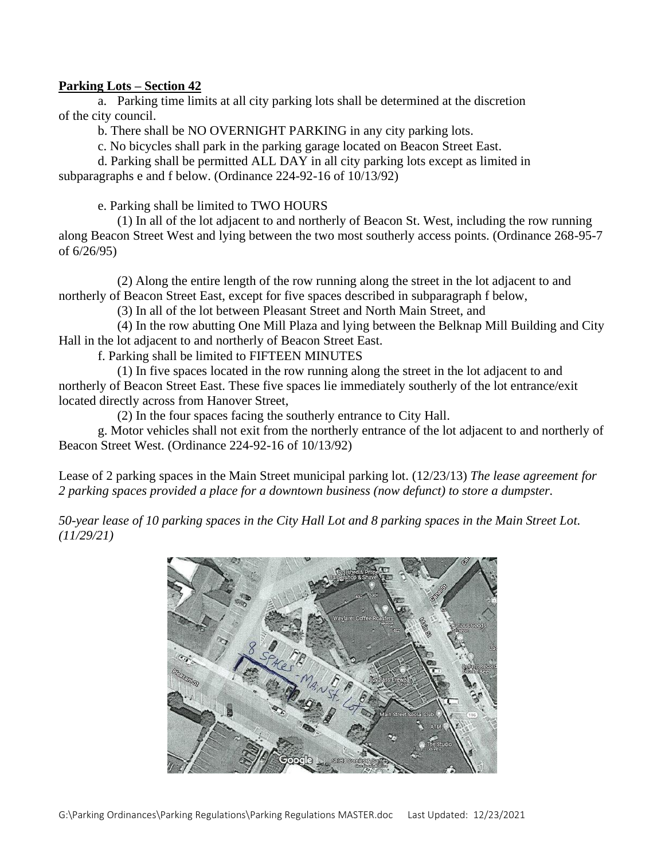## **Parking Lots – Section 42**

a. Parking time limits at all city parking lots shall be determined at the discretion of the city council.

b. There shall be NO OVERNIGHT PARKING in any city parking lots.

c. No bicycles shall park in the parking garage located on Beacon Street East.

d. Parking shall be permitted ALL DAY in all city parking lots except as limited in subparagraphs e and f below. (Ordinance 224-92-16 of 10/13/92)

e. Parking shall be limited to TWO HOURS

(1) In all of the lot adjacent to and northerly of Beacon St. West, including the row running along Beacon Street West and lying between the two most southerly access points. (Ordinance 268-95-7 of 6/26/95)

(2) Along the entire length of the row running along the street in the lot adjacent to and northerly of Beacon Street East, except for five spaces described in subparagraph f below,

(3) In all of the lot between Pleasant Street and North Main Street, and

(4) In the row abutting One Mill Plaza and lying between the Belknap Mill Building and City Hall in the lot adjacent to and northerly of Beacon Street East.

f. Parking shall be limited to FIFTEEN MINUTES

(1) In five spaces located in the row running along the street in the lot adjacent to and northerly of Beacon Street East. These five spaces lie immediately southerly of the lot entrance/exit located directly across from Hanover Street,

(2) In the four spaces facing the southerly entrance to City Hall.

g. Motor vehicles shall not exit from the northerly entrance of the lot adjacent to and northerly of Beacon Street West. (Ordinance 224-92-16 of 10/13/92)

Lease of 2 parking spaces in the Main Street municipal parking lot. (12/23/13) *The lease agreement for 2 parking spaces provided a place for a downtown business (now defunct) to store a dumpster.*

*50-year lease of 10 parking spaces in the City Hall Lot and 8 parking spaces in the Main Street Lot. (11/29/21)*

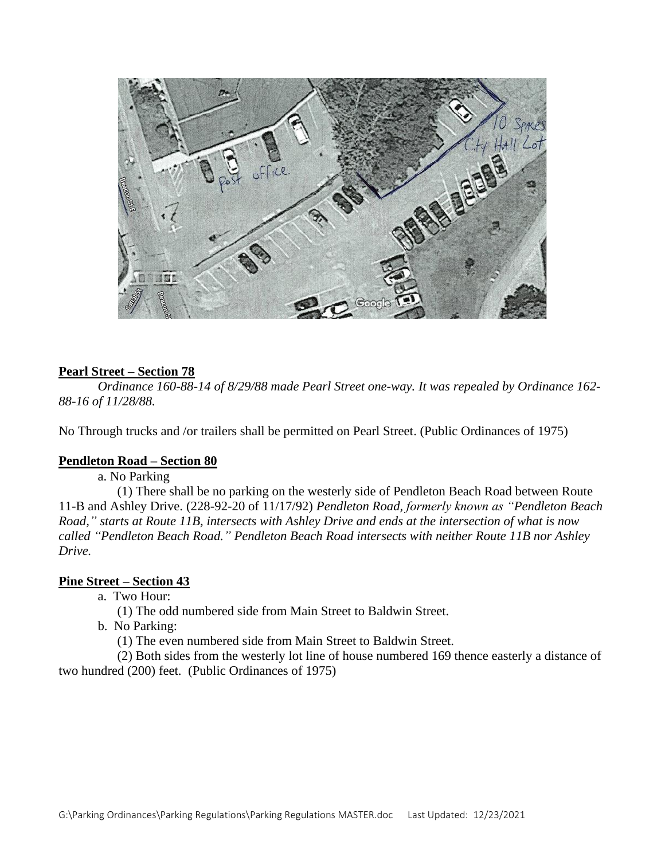

# **Pearl Street – Section 78**

*Ordinance 160-88-14 of 8/29/88 made Pearl Street one-way. It was repealed by Ordinance 162- 88-16 of 11/28/88.*

No Through trucks and /or trailers shall be permitted on Pearl Street. (Public Ordinances of 1975)

#### **Pendleton Road – Section 80**

a. No Parking

(1) There shall be no parking on the westerly side of Pendleton Beach Road between Route 11-B and Ashley Drive. (228-92-20 of 11/17/92) *Pendleton Road, formerly known as "Pendleton Beach Road," starts at Route 11B, intersects with Ashley Drive and ends at the intersection of what is now called "Pendleton Beach Road." Pendleton Beach Road intersects with neither Route 11B nor Ashley Drive.* 

# **Pine Street – Section 43**

a. Two Hour:

(1) The odd numbered side from Main Street to Baldwin Street.

b. No Parking:

(1) The even numbered side from Main Street to Baldwin Street.

(2) Both sides from the westerly lot line of house numbered 169 thence easterly a distance of two hundred (200) feet. (Public Ordinances of 1975)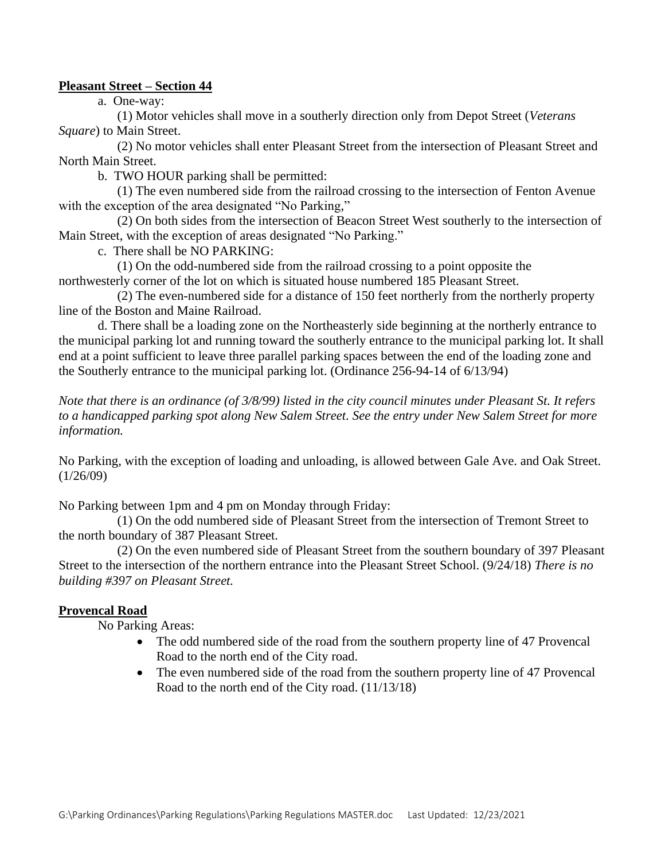## **Pleasant Street – Section 44**

a. One-way:

(1) Motor vehicles shall move in a southerly direction only from Depot Street (*Veterans Square*) to Main Street.

(2) No motor vehicles shall enter Pleasant Street from the intersection of Pleasant Street and North Main Street.

b. TWO HOUR parking shall be permitted:

(1) The even numbered side from the railroad crossing to the intersection of Fenton Avenue with the exception of the area designated "No Parking,"

(2) On both sides from the intersection of Beacon Street West southerly to the intersection of Main Street, with the exception of areas designated "No Parking."

c. There shall be NO PARKING:

(1) On the odd-numbered side from the railroad crossing to a point opposite the northwesterly corner of the lot on which is situated house numbered 185 Pleasant Street.

(2) The even-numbered side for a distance of 150 feet northerly from the northerly property line of the Boston and Maine Railroad.

d. There shall be a loading zone on the Northeasterly side beginning at the northerly entrance to the municipal parking lot and running toward the southerly entrance to the municipal parking lot. It shall end at a point sufficient to leave three parallel parking spaces between the end of the loading zone and the Southerly entrance to the municipal parking lot. (Ordinance 256-94-14 of 6/13/94)

*Note that there is an ordinance (of 3/8/99) listed in the city council minutes under Pleasant St. It refers to a handicapped parking spot along New Salem Street. See the entry under New Salem Street for more information.*

No Parking, with the exception of loading and unloading, is allowed between Gale Ave. and Oak Street.  $(1/26/09)$ 

No Parking between 1pm and 4 pm on Monday through Friday:

(1) On the odd numbered side of Pleasant Street from the intersection of Tremont Street to the north boundary of 387 Pleasant Street.

(2) On the even numbered side of Pleasant Street from the southern boundary of 397 Pleasant Street to the intersection of the northern entrance into the Pleasant Street School. (9/24/18) *There is no building #397 on Pleasant Street.*

## **Provencal Road**

No Parking Areas:

- The odd numbered side of the road from the southern property line of 47 Provencal Road to the north end of the City road.
- The even numbered side of the road from the southern property line of 47 Provencal Road to the north end of the City road. (11/13/18)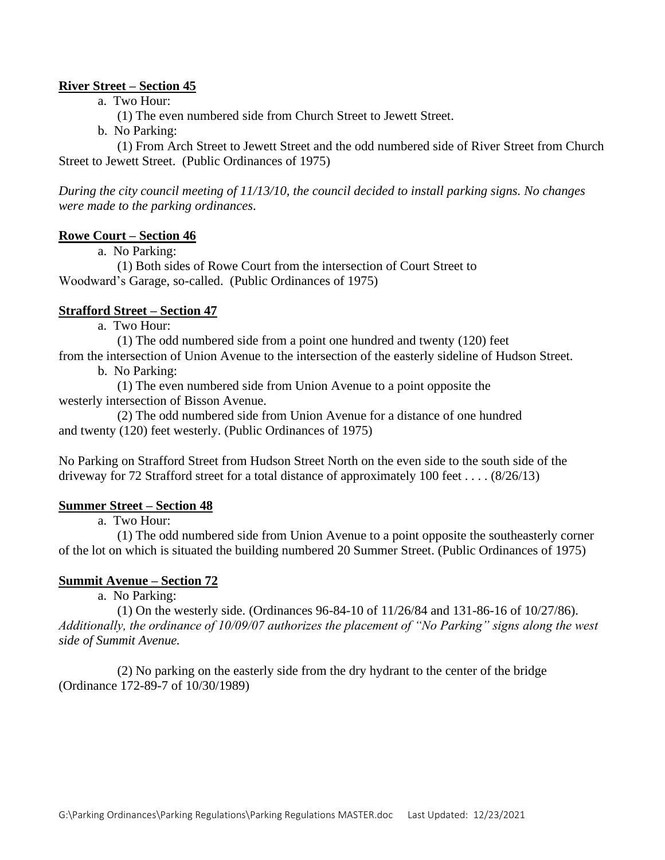# **River Street – Section 45**

a. Two Hour:

(1) The even numbered side from Church Street to Jewett Street.

b. No Parking:

(1) From Arch Street to Jewett Street and the odd numbered side of River Street from Church Street to Jewett Street. (Public Ordinances of 1975)

*During the city council meeting of 11/13/10, the council decided to install parking signs. No changes were made to the parking ordinances*.

## **Rowe Court – Section 46**

a. No Parking:

(1) Both sides of Rowe Court from the intersection of Court Street to Woodward's Garage, so-called. (Public Ordinances of 1975)

# **Strafford Street – Section 47**

a. Two Hour:

(1) The odd numbered side from a point one hundred and twenty (120) feet

from the intersection of Union Avenue to the intersection of the easterly sideline of Hudson Street. b. No Parking:

(1) The even numbered side from Union Avenue to a point opposite the westerly intersection of Bisson Avenue.

(2) The odd numbered side from Union Avenue for a distance of one hundred and twenty (120) feet westerly. (Public Ordinances of 1975)

No Parking on Strafford Street from Hudson Street North on the even side to the south side of the driveway for 72 Strafford street for a total distance of approximately 100 feet . . . . (8/26/13)

## **Summer Street – Section 48**

a. Two Hour:

(1) The odd numbered side from Union Avenue to a point opposite the southeasterly corner of the lot on which is situated the building numbered 20 Summer Street. (Public Ordinances of 1975)

## **Summit Avenue – Section 72**

a. No Parking:

(1) On the westerly side. (Ordinances 96-84-10 of 11/26/84 and 131-86-16 of 10/27/86). *Additionally, the ordinance of 10/09/07 authorizes the placement of "No Parking" signs along the west side of Summit Avenue.*

(2) No parking on the easterly side from the dry hydrant to the center of the bridge (Ordinance 172-89-7 of 10/30/1989)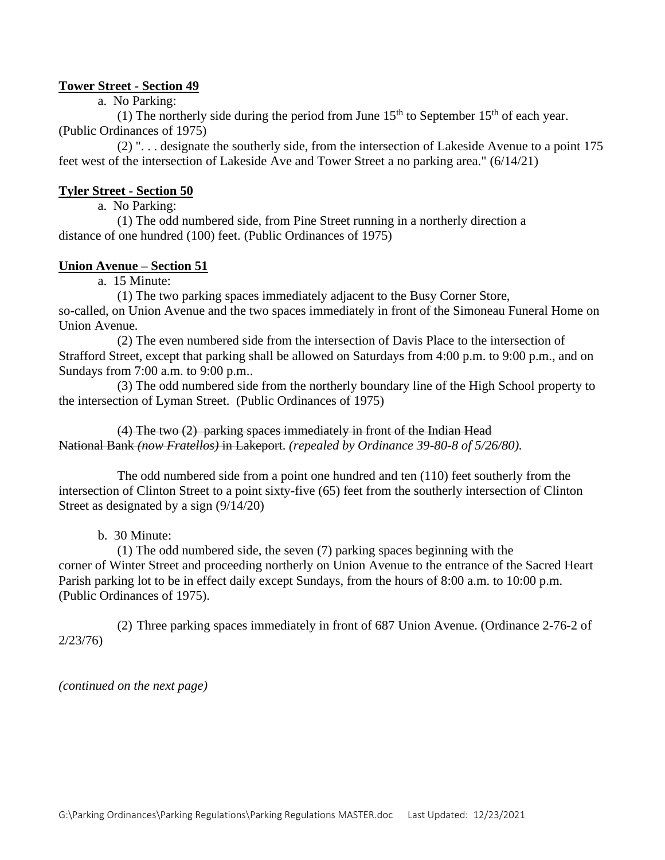## **Tower Street - Section 49**

a. No Parking:

(1) The northerly side during the period from June  $15<sup>th</sup>$  to September  $15<sup>th</sup>$  of each year. (Public Ordinances of 1975)

(2) ". . . designate the southerly side, from the intersection of Lakeside Avenue to a point 175 feet west of the intersection of Lakeside Ave and Tower Street a no parking area." (6/14/21)

#### **Tyler Street - Section 50**

a. No Parking:

(1) The odd numbered side, from Pine Street running in a northerly direction a distance of one hundred (100) feet. (Public Ordinances of 1975)

## **Union Avenue – Section 51**

a. 15 Minute:

(1) The two parking spaces immediately adjacent to the Busy Corner Store, so-called, on Union Avenue and the two spaces immediately in front of the Simoneau Funeral Home on Union Avenue*.* 

(2) The even numbered side from the intersection of Davis Place to the intersection of Strafford Street, except that parking shall be allowed on Saturdays from 4:00 p.m. to 9:00 p.m., and on Sundays from 7:00 a.m. to 9:00 p.m..

(3) The odd numbered side from the northerly boundary line of the High School property to the intersection of Lyman Street. (Public Ordinances of 1975)

(4) The two (2) parking spaces immediately in front of the Indian Head National Bank *(now Fratellos)* in Lakeport. *(repealed by Ordinance 39-80-8 of 5/26/80).*

The odd numbered side from a point one hundred and ten (110) feet southerly from the intersection of Clinton Street to a point sixty-five (65) feet from the southerly intersection of Clinton Street as designated by a sign (9/14/20)

b. 30 Minute:

(1) The odd numbered side, the seven (7) parking spaces beginning with the corner of Winter Street and proceeding northerly on Union Avenue to the entrance of the Sacred Heart Parish parking lot to be in effect daily except Sundays, from the hours of 8:00 a.m. to 10:00 p.m. (Public Ordinances of 1975).

(2) Three parking spaces immediately in front of 687 Union Avenue. (Ordinance 2-76-2 of 2/23/76)

*(continued on the next page)*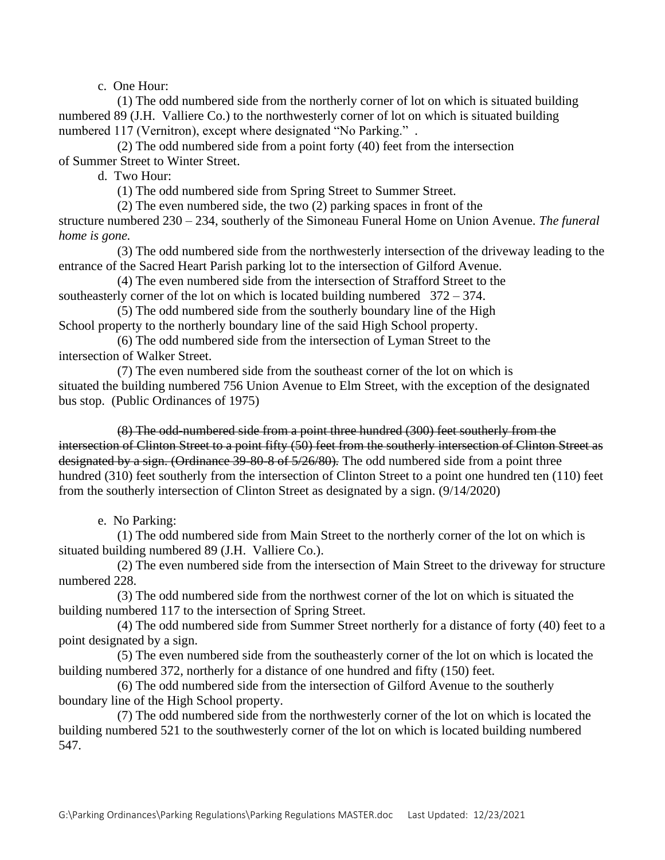c. One Hour:

(1) The odd numbered side from the northerly corner of lot on which is situated building numbered 89 (J.H. Valliere Co.) to the northwesterly corner of lot on which is situated building numbered 117 (Vernitron), except where designated "No Parking." *.*

(2) The odd numbered side from a point forty (40) feet from the intersection of Summer Street to Winter Street.

d. Two Hour:

(1) The odd numbered side from Spring Street to Summer Street.

(2) The even numbered side, the two (2) parking spaces in front of the

structure numbered 230 – 234, southerly of the Simoneau Funeral Home on Union Avenue. *The funeral home is gone.*

(3) The odd numbered side from the northwesterly intersection of the driveway leading to the entrance of the Sacred Heart Parish parking lot to the intersection of Gilford Avenue.

(4) The even numbered side from the intersection of Strafford Street to the southeasterly corner of the lot on which is located building numbered 372 – 374.

(5) The odd numbered side from the southerly boundary line of the High School property to the northerly boundary line of the said High School property.

(6) The odd numbered side from the intersection of Lyman Street to the intersection of Walker Street.

(7) The even numbered side from the southeast corner of the lot on which is situated the building numbered 756 Union Avenue to Elm Street, with the exception of the designated bus stop. (Public Ordinances of 1975)

(8) The odd-numbered side from a point three hundred (300) feet southerly from the intersection of Clinton Street to a point fifty (50) feet from the southerly intersection of Clinton Street as designated by a sign. (Ordinance 39-80-8 of 5/26/80)*.* The odd numbered side from a point three hundred (310) feet southerly from the intersection of Clinton Street to a point one hundred ten (110) feet from the southerly intersection of Clinton Street as designated by a sign. (9/14/2020)

e. No Parking:

(1) The odd numbered side from Main Street to the northerly corner of the lot on which is situated building numbered 89 (J.H. Valliere Co.).

(2) The even numbered side from the intersection of Main Street to the driveway for structure numbered 228.

(3) The odd numbered side from the northwest corner of the lot on which is situated the building numbered 117 to the intersection of Spring Street.

(4) The odd numbered side from Summer Street northerly for a distance of forty (40) feet to a point designated by a sign.

(5) The even numbered side from the southeasterly corner of the lot on which is located the building numbered 372, northerly for a distance of one hundred and fifty (150) feet.

(6) The odd numbered side from the intersection of Gilford Avenue to the southerly boundary line of the High School property.

(7) The odd numbered side from the northwesterly corner of the lot on which is located the building numbered 521 to the southwesterly corner of the lot on which is located building numbered 547.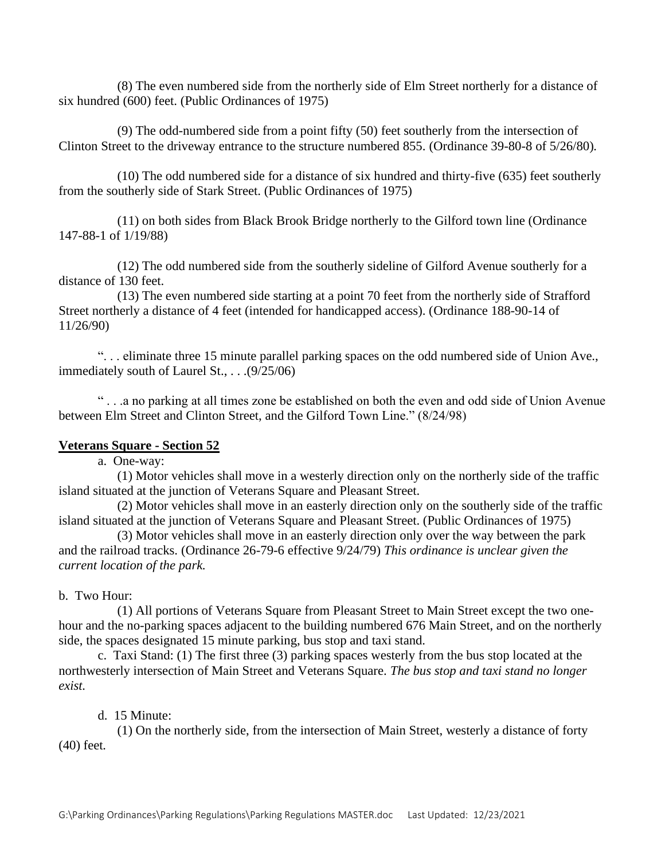(8) The even numbered side from the northerly side of Elm Street northerly for a distance of six hundred (600) feet. (Public Ordinances of 1975)

(9) The odd-numbered side from a point fifty (50) feet southerly from the intersection of Clinton Street to the driveway entrance to the structure numbered 855. (Ordinance 39-80-8 of 5/26/80)*.*

(10) The odd numbered side for a distance of six hundred and thirty-five (635) feet southerly from the southerly side of Stark Street. (Public Ordinances of 1975)

(11) on both sides from Black Brook Bridge northerly to the Gilford town line (Ordinance 147-88-1 of 1/19/88)

(12) The odd numbered side from the southerly sideline of Gilford Avenue southerly for a distance of 130 feet.

(13) The even numbered side starting at a point 70 feet from the northerly side of Strafford Street northerly a distance of 4 feet (intended for handicapped access). (Ordinance 188-90-14 of 11/26/90)

". . . eliminate three 15 minute parallel parking spaces on the odd numbered side of Union Ave., immediately south of Laurel St., . . .(9/25/06)

" . . .a no parking at all times zone be established on both the even and odd side of Union Avenue between Elm Street and Clinton Street, and the Gilford Town Line." (8/24/98)

## **Veterans Square - Section 52**

a. One-way:

(1) Motor vehicles shall move in a westerly direction only on the northerly side of the traffic island situated at the junction of Veterans Square and Pleasant Street.

(2) Motor vehicles shall move in an easterly direction only on the southerly side of the traffic island situated at the junction of Veterans Square and Pleasant Street. (Public Ordinances of 1975)

(3) Motor vehicles shall move in an easterly direction only over the way between the park and the railroad tracks. (Ordinance 26-79-6 effective 9/24/79) *This ordinance is unclear given the current location of the park.*

## b. Two Hour:

(1) All portions of Veterans Square from Pleasant Street to Main Street except the two onehour and the no-parking spaces adjacent to the building numbered 676 Main Street, and on the northerly side, the spaces designated 15 minute parking, bus stop and taxi stand.

c. Taxi Stand: (1) The first three (3) parking spaces westerly from the bus stop located at the northwesterly intersection of Main Street and Veterans Square. *The bus stop and taxi stand no longer exist.*

# d. 15 Minute:

(1) On the northerly side, from the intersection of Main Street, westerly a distance of forty (40) feet*.*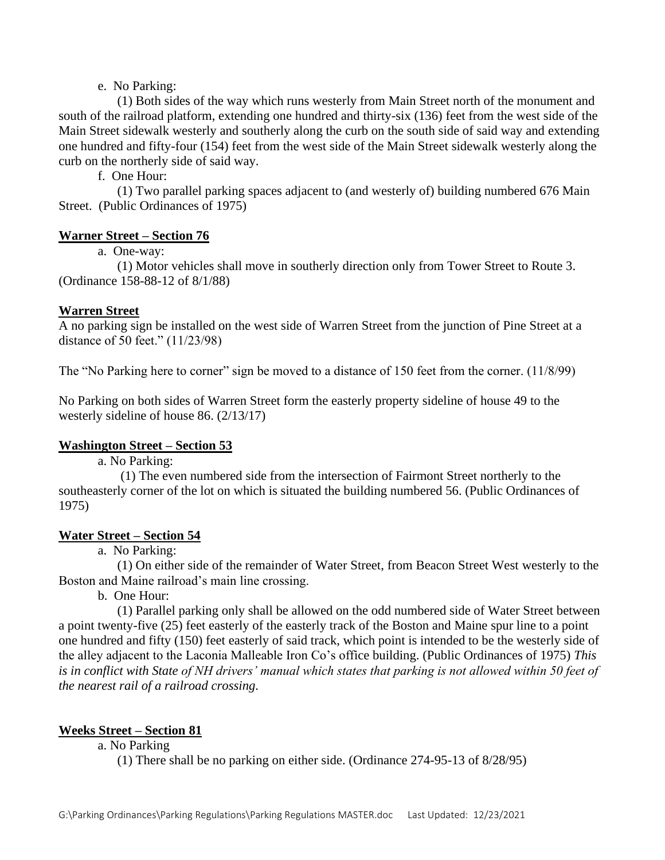# e. No Parking:

(1) Both sides of the way which runs westerly from Main Street north of the monument and south of the railroad platform, extending one hundred and thirty-six (136) feet from the west side of the Main Street sidewalk westerly and southerly along the curb on the south side of said way and extending one hundred and fifty-four (154) feet from the west side of the Main Street sidewalk westerly along the curb on the northerly side of said way.

f. One Hour:

(1) Two parallel parking spaces adjacent to (and westerly of) building numbered 676 Main Street. (Public Ordinances of 1975)

# **Warner Street – Section 76**

# a. One-way:

(1) Motor vehicles shall move in southerly direction only from Tower Street to Route 3. (Ordinance 158-88-12 of 8/1/88)

# **Warren Street**

A no parking sign be installed on the west side of Warren Street from the junction of Pine Street at a distance of 50 feet." (11/23/98)

The "No Parking here to corner" sign be moved to a distance of 150 feet from the corner. (11/8/99)

No Parking on both sides of Warren Street form the easterly property sideline of house 49 to the westerly sideline of house 86. (2/13/17)

# **Washington Street – Section 53**

a. No Parking:

(1) The even numbered side from the intersection of Fairmont Street northerly to the southeasterly corner of the lot on which is situated the building numbered 56. (Public Ordinances of 1975)

## **Water Street – Section 54**

a. No Parking:

(1) On either side of the remainder of Water Street, from Beacon Street West westerly to the Boston and Maine railroad's main line crossing.

b. One Hour:

(1) Parallel parking only shall be allowed on the odd numbered side of Water Street between a point twenty-five (25) feet easterly of the easterly track of the Boston and Maine spur line to a point one hundred and fifty (150) feet easterly of said track, which point is intended to be the westerly side of the alley adjacent to the Laconia Malleable Iron Co's office building. (Public Ordinances of 1975) *This is in conflict with State of NH drivers' manual which states that parking is not allowed within 50 feet of the nearest rail of a railroad crossing.*

# **Weeks Street – Section 81**

a. No Parking

(1) There shall be no parking on either side. (Ordinance 274-95-13 of 8/28/95)